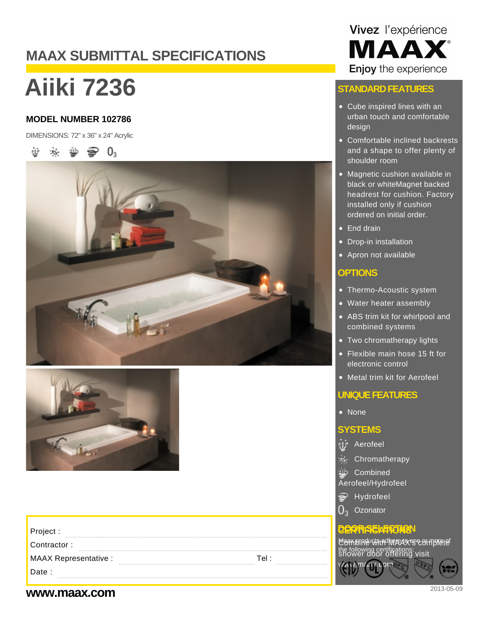## **MAAX SUBMITTAL SPECIFICATIONS**

# **Aiiki 7236**

#### **MODEL NUMBER 102786**

DIMENSIONS: 72" x 36" x 24" Acrylic







| Project :                                            |                                    |
|------------------------------------------------------|------------------------------------|
| Contractor:                                          | following certific<br>ower door of |
| <b>MAAX Representative:</b><br>Tel :<br>.<br><b></b> |                                    |
| Date:<br>-----------                                 |                                    |
|                                                      |                                    |

## Vivez l'expérience **MAAX** Enjoy the experience

#### **STANDARD FEATURES**

- Cube inspired lines with an urban touch and comfortable design
- Comfortable inclined backrests and a shape to offer plenty of shoulder room
- Magnetic cushion available in black or whiteMagnet backed headrest for cushion. Factory installed only if cushion ordered on initial order.
- End drain
- Drop-in installation
- Apron not available

#### **OPTIONS**

- Thermo-Acoustic system
- Water heater assembly
- ABS trim kit for whirlpool and combined systems
- Two chromatherapy lights
- Flexible main hose 15 ft for electronic control
- Metal trim kit for Aerofeel

#### **UNIQUE FEATURES**

• None

#### **SYSTEMS**

- *်း*<br>Aerofeel
- S- Chromatherapy
- Combined Aerofeel/Hydrofeel
- $\Rightarrow$  Hydrofeel
- ი. **Ozonator**

#### **DERTIFICTION**

<u>Maax bine uwith MacAX&bouth Metel</u> the following certifications:<br>Shower door offering visit

### **www.maax.com** 2013-05-09